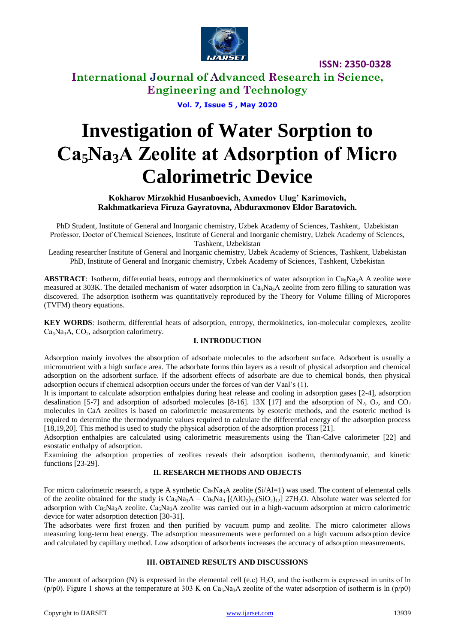

**International Journal of Advanced Research in Science, Engineering and Technology**

**Vol. 7, Issue 5 , May 2020**

# **Investigation of Water Sorption to Са5Na3А Zeolite at Adsorption of Micro Calorimetric Device**

**Kokharov Mirzokhid Husanboevich, Axmedov Ulug' Karimovich, Rakhmatkarieva Firuza Gayratovna, Abduraxmonov Eldor Baratovich.**

PhD Student, Institute of General and Inorganic chemistry, Uzbek Academy of Sciences, Tashkent, Uzbekistan Professor, Doctor of Сhemical Sciences, Institute of General and Inorganic chemistry, Uzbek Academy of Sciences, Tashkent, Uzbekistan

Leading researcher Institute of General and Inorganic chemistry, Uzbek Academy of Sciences, Tashkent, Uzbekistan PhD, Institute of General and Inorganic chemistry, Uzbek Academy of Sciences, Tashkent, Uzbekistan

**ABSTRACT**: Isotherm, differential heats, entropy and thermokinetics of water adsorption in  $Ca<sub>3</sub>Na<sub>3</sub>A$  A zeolite were measured at 303K. The detailed mechanism of water adsorption in  $Ca<sub>5</sub>Na<sub>3</sub>A$  zeolite from zero filling to saturation was discovered. The adsorption isotherm was quantitatively reproduced by the Theory for Volume filling of Micropores (TVFM) theory equations.

**KEY WORDS**: Isotherm, differential heats of adsorption, entropy, thermokinetics, ion-molecular complexes, zeolite  $Ca<sub>5</sub>Na<sub>3</sub>A$ ,  $CO<sub>2</sub>$ , adsorption calorimetry.

### **I. INTRODUCTION**

Adsorption mainly involves the absorption of adsorbate molecules to the adsorbent surface. Adsorbent is usually a micronutrient with a high surface area. The adsorbate forms thin layers as a result of physical adsorption and chemical adsorption on the adsorbent surface. If the adsorbent effects of adsorbate are due to chemical bonds, then physical adsorption occurs if chemical adsorption occurs under the forces of van der Vaal's (1).

It is important to calculate adsorption enthalpies during heat release and cooling in adsorption gases [2-4], adsorption desalination [5-7] and adsorption of adsorbed molecules [8-16]. 13X [17] and the adsorption of  $N_2$ , O<sub>2</sub>, and CO<sub>2</sub> molecules in CaA zeolites is based on calorimetric measurements by esoteric methods, and the esoteric method is required to determine the thermodynamic values required to calculate the differential energy of the adsorption process [18,19,20]. This method is used to study the physical adsorption of the adsorption process [21].

Adsorption enthalpies are calculated using calorimetric measurements using the Tian-Calve calorimeter [22] and esostatic enthalpy of adsorption.

Examining the adsorption properties of zeolites reveals their adsorption isotherm, thermodynamic, and kinetic functions [23-29].

### **II. RESEARCH METHODS AND OBJECTS**

For micro calorimetric research, a type A synthetic  $Ca<sub>5</sub>Na<sub>3</sub>A$  zeolite (Si/Al=1) was used. The content of elemental cells of the zeolite obtained for the study is  $Ca<sub>5</sub>Na<sub>3</sub>A - Ca<sub>5</sub>Na<sub>3</sub>[(AlO<sub>2</sub>)<sub>12</sub>(SiO<sub>2</sub>)<sub>12</sub>]$  27H<sub>2</sub>O. Absolute water was selected for adsorption with Ca<sub>5</sub>Na<sub>3</sub>A zeolite. Ca<sub>5</sub>Na<sub>3</sub>A zeolite was carried out in a high-vacuum adsorption at micro calorimetric device for water adsorption detection [30-31].

The adsorbates were first frozen and then purified by vacuum pump and zeolite. The micro calorimeter allows measuring long-term heat energy. The adsorption measurements were performed on a high vacuum adsorption device and calculated by capillary method. Low adsorption of adsorbents increases the accuracy of adsorption measurements.

#### **III. OBTAINED RESULTS AND DISCUSSIONS**

The amount of adsorption  $(N)$  is expressed in the elemental cell (e.c)  $H_2O$ , and the isotherm is expressed in units of ln  $(p/p0)$ . Figure 1 shows at the temperature at 303 K on Ca<sub>5</sub>Na<sub>3</sub>A zeolite of the water adsorption of isotherm is ln (p/p0)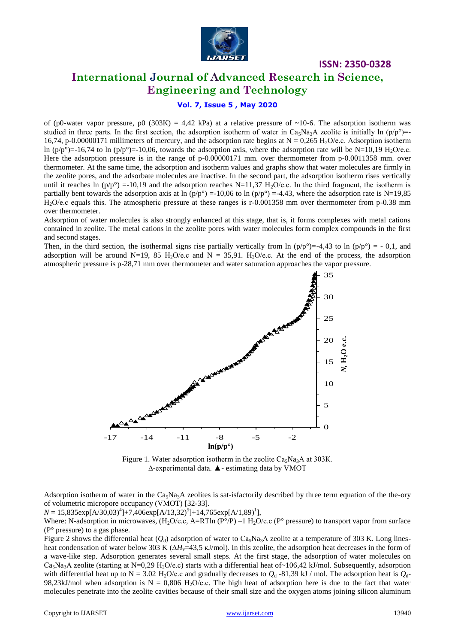

**International Journal of Advanced Research in Science, Engineering and Technology**

### **Vol. 7, Issue 5 , May 2020**

of (p0-water vapor pressure, p0 (303K) = 4,42 kPa) at a relative pressure of ~10-6. The adsorption isotherm was studied in three parts. In the first section, the adsorption isotherm of water in  $Ca_3Na_3A$  zeolite is initially ln  $(p/p^{\circ})$ =-16,74, p-0.00000171 millimeters of mercury, and the adsorption rate begins at  $N = 0.265$  H<sub>2</sub>O/e.c. Adsorption isotherm ln (p/p°)=-16,74 to ln (p/p°)=-10,06, towards the adsorption axis, where the adsorption rate will be N=10,19 H<sub>2</sub>O/e.c. Here the adsorption pressure is in the range of p-0.00000171 mm. over thermometer from p-0.0011358 mm. over thermometer. At the same time, the adsorption and isotherm values and graphs show that water molecules are firmly in the zeolite pores, and the adsorbate molecules are inactive. In the second part, the adsorption isotherm rises vertically until it reaches ln  $(p/p^{\circ}) = -10,19$  and the adsorption reaches N=11,37 H<sub>2</sub>O/e.c. In the third fragment, the isotherm is partially bent towards the adsorption axis at ln  $(p/p^{\circ}) = -10,06$  to ln  $(p/p^{\circ}) = -4.43$ , where the adsorption rate is N=19,85 H<sub>2</sub>O/e.c equals this. The atmospheric pressure at these ranges is r-0.001358 mm over thermometer from p-0.38 mm over thermometer.

Adsorption of water molecules is also strongly enhanced at this stage, that is, it forms complexes with metal cations contained in zeolite. The metal cations in the zeolite pores with water molecules form complex compounds in the first and second stages.

Then, in the third section, the isothermal signs rise partially vertically from ln  $(p/p^{\circ}) = -4.43$  to ln  $(p/p^{\circ}) = -0.1$ , and adsorption will be around N=19, 85 H<sub>2</sub>O/e.c and N = 35,91. H<sub>2</sub>O/e.c. At the end of the process, the adsorption atmospheric pressure is p-28,71 mm over thermometer and water saturation approaches the vapor pressure.



Figure 1. Water adsorption isotherm in the zeolite  $Ca<sub>5</sub>Na<sub>3</sub>A$  at 303K. ∆-experimental data. ▲- estimating data by VMOT

Adsorption isotherm of water in the  $Ca<sub>5</sub>Na<sub>3</sub>A$  zeolites is sat-isfactorily described by three term equation of the the-ory of volumetric micropore occupancy (VMOT) [32-33].

 $N = 15,835 \exp[A/30,03)^4] + 7,406 \exp[A/13,32)^5] + 14,765 \exp[A/1,89)^1],$ 

Where: N-adsorption in microwaves,  $(H_2O/e.c, A=R T ln (P°/P) - H_2O/e.c (P°)$  pressure) to transport vapor from surface  $(P<sup>°</sup> pressure)$  to a gas phase.

Figure 2 shows the differential heat  $(Q_d)$  adsorption of water to Ca<sub>5</sub>Na<sub>3</sub>A zeolite at a temperature of 303 K. Long linesheat condensation of water below 303 K (Δ*H*<sub>v</sub>=43,5 kJ/mol). In this zeolite, the adsorption heat decreases in the form of a wave-like step. Adsorption generates several small steps. At the first stage, the adsorption of water molecules on  $Ca<sub>5</sub>Na<sub>3</sub>A$  zeolite (starting at N=0,29 H<sub>2</sub>O/e.c) starts with a differential heat of~106,42 kJ/mol. Subsequently, adsorption with differential heat up to N = 3.02 H<sub>2</sub>O/e.c and gradually decreases to  $Q_d$  -81,39 kJ / mol. The adsorption heat is  $Q_d$ -98,23kJ/mol when adsorption is  $N = 0,806$  H<sub>2</sub>O/e.c. The high heat of adsorption here is due to the fact that water molecules penetrate into the zeolite cavities because of their small size and the oxygen atoms joining silicon aluminum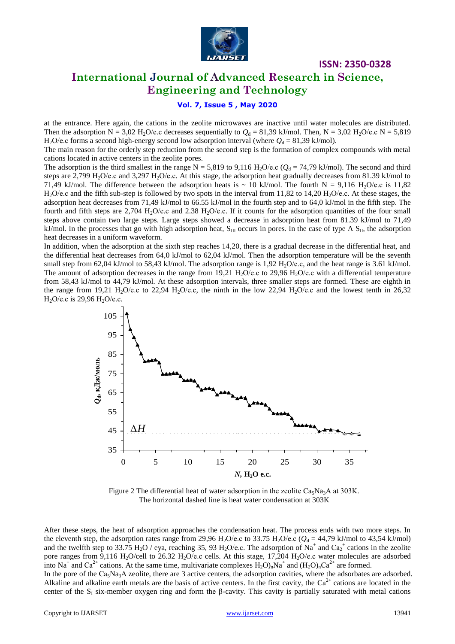

# **International Journal of Advanced Research in Science, Engineering and Technology**

### **Vol. 7, Issue 5 , May 2020**

at the entrance. Here again, the cations in the zeolite microwaves are inactive until water molecules are distributed. Then the adsorption N = 3,02 H<sub>2</sub>O/e.c decreases sequentially to  $Q_d$  = 81,39 kJ/mol. Then, N = 3,02 H<sub>2</sub>O/e.c N = 5,819 H<sub>2</sub>O/e.c forms a second high-energy second low adsorption interval (where  $Q_d = 81,39$  kJ/mol).

The main reason for the orderly step reduction from the second step is the formation of complex compounds with metal cations located in active centers in the zeolite pores.

The adsorption is the third smallest in the range N = 5,819 to 9,116 H<sub>2</sub>O/e.c ( $Q_d$  = 74,79 kJ/mol). The second and third steps are 2,799 H<sub>2</sub>O/e.c and 3,297 H<sub>2</sub>O/e.c. At this stage, the adsorption heat gradually decreases from 81.39 kJ/mol to 71,49 kJ/mol. The difference between the adsorption heats is  $\sim 10$  kJ/mol. The fourth N = 9,116 H<sub>2</sub>O/e.c is 11,82  $H<sub>2</sub>O/e.c$  and the fifth sub-step is followed by two spots in the interval from 11,82 to 14,20  $H<sub>2</sub>O/e.c$ . At these stages, the adsorption heat decreases from 71,49 kJ/mol to 66.55 kJ/mol in the fourth step and to 64,0 kJ/mol in the fifth step. The fourth and fifth steps are 2,704 H<sub>2</sub>O/e.c and 2.38 H<sub>2</sub>O/e.c. If it counts for the adsorption quantities of the four small steps above contain two large steps. Large steps showed a decrease in adsorption heat from 81.39 kJ/mol to 71,49 kJ/mol. In the processes that go with high adsorption heat,  $S_{III}$  occurs in pores. In the case of type A  $S_{II}$ , the adsorption heat decreases in a uniform waveform.

In addition, when the adsorption at the sixth step reaches 14,20, there is a gradual decrease in the differential heat, and the differential heat decreases from 64,0 kJ/mol to 62,04 kJ/mol. Then the adsorption temperature will be the seventh small step from 62,04 kJ/mol to 58,43 kJ/mol. The adsorption range is  $1,92$  H<sub>2</sub>O/e.c, and the heat range is 3.61 kJ/mol. The amount of adsorption decreases in the range from 19,21 H<sub>2</sub>O/e.c to 29,96 H<sub>2</sub>O/e.c with a differential temperature from 58,43 kJ/mol to 44,79 kJ/mol. At these adsorption intervals, three smaller steps are formed. These are eighth in the range from 19,21 H<sub>2</sub>O/e.c to 22,94 H<sub>2</sub>O/e.c, the ninth in the low 22,94 H<sub>2</sub>O/e.c and the lowest tenth in 26,32 H<sub>2</sub>O/e.c is 29,96 H<sub>2</sub>O/e.c.



Figure 2 The differential heat of water adsorption in the zeolite  $Ca<sub>5</sub>Na<sub>3</sub>A$  at 303K. The horizontal dashed line is heat water condensation at 303K

After these steps, the heat of adsorption approaches the condensation heat. The process ends with two more steps. In the eleventh step, the adsorption rates range from 29,96 H<sub>2</sub>O/e.c to 33.75 H<sub>2</sub>O/e.c ( $Q_d = 44,79$  kJ/mol to 43,54 kJ/mol) and the twelfth step to 33.75 H<sub>2</sub>O / eya, reaching 35, 93 H<sub>2</sub>O/e.c. The adsorption of Na<sup>+</sup> and Ca<sub>2</sub><sup>+</sup> cations in the zeolite pore ranges from 9,116 H<sub>2</sub>O/cell to 26.32 H<sub>2</sub>O/e.c cells. At this stage, 17,204 H<sub>2</sub>O/e.c water molecules are adsorbed into Na<sup>+</sup> and Ca<sup>2+</sup> cations. At the same time, multivariate complexes  $H_2O$ <sub>n</sub>Na<sup>+</sup> and  $(H_2O)_nCa^{2+}$  are formed.

In the pore of the  $Ca<sub>5</sub>Na<sub>3</sub>A$  zeolite, there are 3 active centers, the adsorption cavities, where the adsorbates are adsorbed. Alkaline and alkaline earth metals are the basis of active centers. In the first cavity, the  $Ca^{2+}$  cations are located in the center of the  $S<sub>I</sub>$  six-member oxygen ring and form the β-cavity. This cavity is partially saturated with metal cations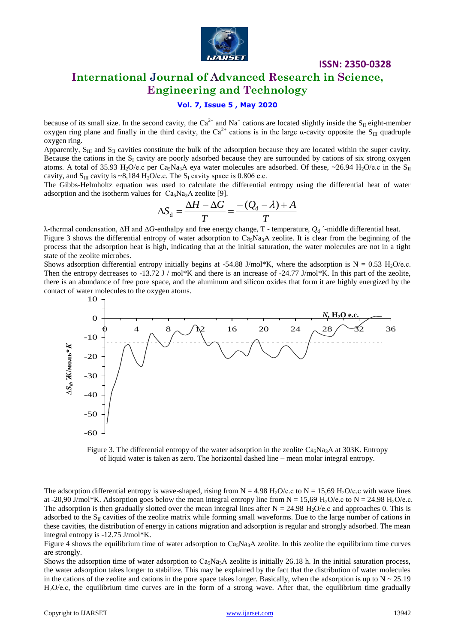

# **International Journal of Advanced Research in Science, Engineering and Technology**

### **Vol. 7, Issue 5 , May 2020**

because of its small size. In the second cavity, the Ca<sup>2+</sup> and Na<sup>+</sup> cations are located slightly inside the S<sub>II</sub> eight-member oxygen ring plane and finally in the third cavity, the Ca<sup>2+</sup> cations is in the large α-cavity opposite the S<sub>III</sub> quadruple oxygen ring.

Apparently,  $S_{III}$  and  $S_{II}$  cavities constitute the bulk of the adsorption because they are located within the super cavity. Because the cations in the  $S<sub>I</sub>$  cavity are poorly adsorbed because they are surrounded by cations of six strong oxygen atoms. A total of 35.93 H<sub>2</sub>O/e.c per Ca<sub>5</sub>Na<sub>3</sub>A eya water molecules are adsorbed. Of these, ~26.94 H<sub>2</sub>O/e.c in the S<sub>II</sub> cavity, and  $S_{III}$  cavity is ~8,184 H<sub>2</sub>O/e.c. The  $S_I$  cavity space is 0.806 e.c.

The Gibbs-Helmholtz equation was used to calculate the differential entropy using the differential heat of water adsorption and the isotherm values for  $Ca<sub>5</sub>Na<sub>3</sub>A$  zeolite [9].

$$
\Delta S_{d} = \frac{\Delta H - \Delta G}{T} = \frac{-(Q_{d} - \lambda) + A}{T}
$$

λ-thermal condensation, ∆H and ∆G-enthalpy and free energy change, T - temperature,  $Q_d$  ´-middle differential heat. Figure 3 shows the differential entropy of water adsorption to  $Ca_3Na_3A$  zeolite. It is clear from the beginning of the process that the adsorption heat is high, indicating that at the initial saturation, the water molecules are not in a tight state of the zeolite microbes.

Shows adsorption differential entropy initially begins at -54.88 J/mol\*K, where the adsorption is  $N = 0.53$  H<sub>2</sub>O/e.c. Then the entropy decreases to -13.72 J / mol\*K and there is an increase of -24.77 J/mol\*K. In this part of the zeolite, there is an abundance of free pore space, and the aluminum and silicon oxides that form it are highly energized by the contact of water molecules to the oxygen atoms.



Figure 3. The differential entropy of the water adsorption in the zeolite  $Ca_5Na_3A$  at 303K. Entropy of liquid water is taken as zero. The horizontal dashed line – mean molar integral entropy.

The adsorption differential entropy is wave-shaped, rising from  $N = 4.98$  H<sub>2</sub>O/e.c to  $N = 15,69$  H<sub>2</sub>O/e.c with wave lines at -20,90 J/mol\*K. Adsorption goes below the mean integral entropy line from  $N = 15,69$  H<sub>2</sub>O/e.c to  $N = 24.98$  H<sub>2</sub>O/e.c. The adsorption is then gradually slotted over the mean integral lines after  $N = 24.98$  H<sub>2</sub>O/e.c and approaches 0. This is adsorbed to the  $S_{II}$  cavities of the zeolite matrix while forming small waveforms. Due to the large number of cations in these cavities, the distribution of energy in cations migration and adsorption is regular and strongly adsorbed. The mean integral entropy is -12.75 J/mol\*K.

Figure 4 shows the equilibrium time of water adsorption to  $Ca<sub>5</sub>Na<sub>3</sub>A$  zeolite. In this zeolite the equilibrium time curves are strongly.

Shows the adsorption time of water adsorption to  $Ca<sub>5</sub>Na<sub>3</sub>A$  zeolite is initially 26.18 h. In the initial saturation process, the water adsorption takes longer to stabilize. This may be explained by the fact that the distribution of water molecules in the cations of the zeolite and cations in the pore space takes longer. Basically, when the adsorption is up to  $N \sim 25.19$ H2O/e.с, the equilibrium time curves are in the form of a strong wave. After that, the equilibrium time gradually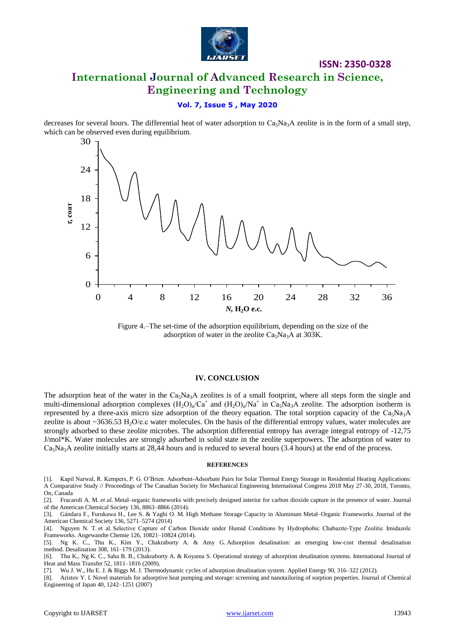

# **ISSN: 2350-0328 International Journal of Advanced Research in Science, Engineering and Technology**

### **Vol. 7, Issue 5 , May 2020**

decreases for several hours. The differential heat of water adsorption to  $Ca<sub>5</sub>Na<sub>3</sub>A$  zeolite is in the form of a small step, which can be observed even during equilibrium.



Figure 4.–The set-time of the adsorption equilibrium, depending on the size of the adsorption of water in the zeolite Ca<sub>5</sub>Na<sub>3</sub>A at 303K.

#### **IV. CONCLUSION**

The adsorption heat of the water in the  $Ca<sub>5</sub>Na<sub>3</sub>A$  zeolites is of a small footprint, where all steps form the single and multi-dimensional adsorption complexes  $(H_2O)_{n}/Ca^+$  and  $(H_2O)_{n}/Na^+$  in Ca<sub>5</sub>Na<sub>3</sub>A zeolite. The adsorption isotherm is represented by a three-axis micro size adsorption of the theory equation. The total sorption capacity of the  $Ca<sub>5</sub>Na<sub>3</sub>A$ zeolite is about  $\sim$ 3636.53 H<sub>2</sub>O/e.c water molecules. On the basis of the differential entropy values, water molecules are strongly adsorbed to these zeolite microbes. The adsorption differential entropy has average integral entropy of -12,75 J/mol\*K. Water molecules are strongly adsorbed in solid state in the zeolite superpowers. The adsorption of water to  $Ca<sub>5</sub>Na<sub>3</sub>A$  zeolite initially starts at 28,44 hours and is reduced to several hours (3.4 hours) at the end of the process.

#### **REFERENCES**

- [1]. Kapil Narwal, R. Kempers, P. G. O'Brien. Adsorbent-Adsorbate Pairs for Solar Thermal Energy Storage in Residential Heating Applications: A Comparative Study // Proceedings of The Canadian Society for Mechanical Engineering International Congress 2018 May 27-30, 2018, Toronto, On, Canada
- [2]. Fracaroli A. M. *et al.* Metal–organic frameworks with precisely designed interior for carbon dioxide capture in the presence of water. Journal of the American Chemical Society 136, 8863–8866 (2014).
- [3]. Gándara F., Furukawa H., Lee S. & Yaghi O. M. High Methane Storage Capacity in Aluminum Metal–Organic Frameworks. Journal of the American Chemical Society 136, 5271–5274 (2014)

[4]. Nguyen N. T. et al. Selective Capture of Carbon Dioxide under Humid Conditions by Hydrophobic Chabazite‐Type Zeolitic Imidazole Frameworks. Angewandte Chemie 126, 10821–10824 (2014).

[7]. Wu J. W., Hu E. J. & Biggs M. J. Thermodynamic cycles of adsorption desalination system. Applied Energy 90, 316–322 (2012).

[8]. Aristov Y. I. Novel materials for adsorptive heat pumping and storage: screening and nanotailoring of sorption properties. Journal of Chemical Engineering of Japan 40, 1242–1251 (2007)

<sup>[5].</sup> Ng K. C., Thu K., Kim Y., Chakraborty A. & Amy G. Adsorption desalination: an emerging low-cost thermal desalination method. Desalination 308, 161–179 (2013).

<sup>[6].</sup> Thu K., Ng K. C., Saha B. B., Chakraborty A. & Koyama S. Operational strategy of adsorption desalination systems. International Journal of Heat and Mass Transfer 52, 1811–1816 (2009).